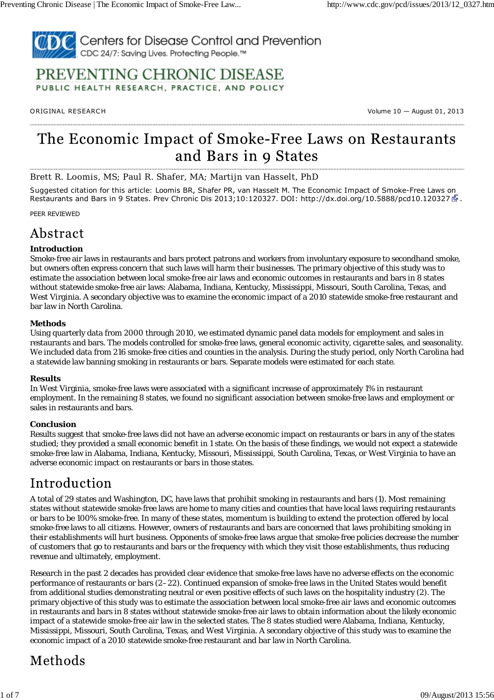

### PREVENTING CHRONIC DISEASE PUBLIC HEALTH RESEARCH, PRACTICE, AND POLICY

ORIG INAL RESEARCH Volume 10 — August 01, 2013

# The Economic Impact of Smoke-Free Laws on Restaurants and Bars in 9 States

Brett R. Loomis, MS; Paul R. Shafer, MA; Martijn van Hasselt, PhD

*Suggested citation for this article:* Loomis BR, Shafer PR, van Hasselt M. The Economic Impact of Smoke-Free Laws on Restaurants and Bars in 9 States. Prev Chronic Dis 2013;10:120327. DOI: http://dx.doi.org/10.5888/pcd10.120327  $\mathbb{F}$ .

PEER REVIEWED

### Abstract

#### **Introduction**

Smoke-free air laws in restaurants and bars protect patrons and workers from involuntary exposure to secondhand smoke, but owners often express concern that such laws will harm their businesses. The primary objective of this study was to estimate the association between local smoke-free air laws and economic outcomes in restaurants and bars in 8 states without statewide smoke-free air laws: Alabama, Indiana, Kentucky, Mississippi, Missouri, South Carolina, Texas, and West Virginia. A secondary objective was to examine the economic impact of a 2010 statewide smoke-free restaurant and bar law in North Carolina.

#### **Methods**

Using quarterly data from 2000 through 2010, we estimated dynamic panel data models for employment and sales in restaurants and bars. The models controlled for smoke-free laws, general economic activity, cigarette sales, and seasonality. We included data from 216 smoke-free cities and counties in the analysis. During the study period, only North Carolina had a statewide law banning smoking in restaurants or bars. Separate models were estimated for each state.

#### **Results**

In West Virginia, smoke-free laws were associated with a significant increase of approximately 1% in restaurant employment. In the remaining 8 states, we found no significant association between smoke-free laws and employment or sales in restaurants and bars.

#### **Conclusion**

Results suggest that smoke-free laws did not have an adverse economic impact on restaurants or bars in any of the states studied; they provided a small economic benefit in 1 state. On the basis of these findings, we would not expect a statewide smoke-free law in Alabama, Indiana, Kentucky, Missouri, Mississippi, South Carolina, Texas, or West Virginia to have an adverse economic impact on restaurants or bars in those states.

### Introduction

A total of 29 states and Washington, DC, have laws that prohibit smoking in restaurants and bars (1). Most remaining states without statewide smoke-free laws are home to many cities and counties that have local laws requiring restaurants or bars to be 100% smoke-free. In many of these states, momentum is building to extend the protection offered by local smoke-free laws to all citizens. However, owners of restaurants and bars are concerned that laws prohibiting smoking in their establishments will hurt business. Opponents of smoke-free laws argue that smoke-free policies decrease the number of customers that go to restaurants and bars or the frequency with which they visit those establishments, thus reducing revenue and ultimately, employment.

Research in the past 2 decades has provided clear evidence that smoke-free laws have no adverse effects on the economic performance of restaurants or bars (2–22). Continued expansion of smoke-free laws in the United States would benefit from additional studies demonstrating neutral or even positive effects of such laws on the hospitality industry (2). The primary objective of this study was to estimate the association between local smoke-free air laws and economic outcomes in restaurants and bars in 8 states without statewide smoke-free air laws to obtain information about the likely economic impact of a statewide smoke-free air law in the selected states. The 8 states studied were Alabama, Indiana, Kentucky, Mississippi, Missouri, South Carolina, Texas, and West Virginia. A secondary objective of this study was to examine the economic impact of a 2010 statewide smoke-free restaurant and bar law in North Carolina.

## Methods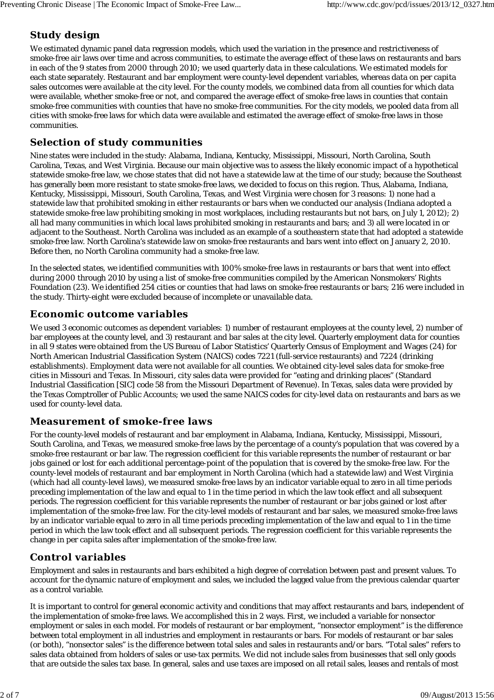### **Study design**

We estimated dynamic panel data regression models, which used the variation in the presence and restrictiveness of smoke-free air laws over time and across communities, to estimate the average effect of these laws on restaurants and bars in each of the 9 states from 2000 through 2010; we used quarterly data in these calculations. We estimated models for each state separately. Restaurant and bar employment were county-level dependent variables, whereas data on per capita sales outcomes were available at the city level. For the county models, we combined data from all counties for which data were available, whether smoke-free or not, and compared the average effect of smoke-free laws in counties that contain smoke-free communities with counties that have no smoke-free communities. For the city models, we pooled data from all cities with smoke-free laws for which data were available and estimated the average effect of smoke-free laws in those communities.

#### **Selection of study communities**

Nine states were included in the study: Alabama, Indiana, Kentucky, Mississippi, Missouri, North Carolina, South Carolina, Texas, and West Virginia. Because our main objective was to assess the likely economic impact of a hypothetical statewide smoke-free law, we chose states that did not have a statewide law at the time of our study; because the Southeast has generally been more resistant to state smoke-free laws, we decided to focus on this region. Thus, Alabama, Indiana, Kentucky, Mississippi, Missouri, South Carolina, Texas, and West Virginia were chosen for 3 reasons: 1) none had a statewide law that prohibited smoking in either restaurants or bars when we conducted our analysis (Indiana adopted a statewide smoke-free law prohibiting smoking in most workplaces, including restaurants but not bars, on July 1, 2012); 2) all had many communities in which local laws prohibited smoking in restaurants and bars; and 3) all were located in or adjacent to the Southeast. North Carolina was included as an example of a southeastern state that had adopted a statewide smoke-free law. North Carolina's statewide law on smoke-free restaurants and bars went into effect on January 2, 2010. Before then, no North Carolina community had a smoke-free law.

In the selected states, we identified communities with 100% smoke-free laws in restaurants or bars that went into effect during 2000 through 2010 by using a list of smoke-free communities compiled by the American Nonsmokers' Rights Foundation (23). We identified 254 cities or counties that had laws on smoke-free restaurants or bars; 216 were included in the study. Thirty-eight were excluded because of incomplete or unavailable data.

#### **Economic outcome variables**

We used 3 economic outcomes as dependent variables: 1) number of restaurant employees at the county level, 2) number of bar employees at the county level, and 3) restaurant and bar sales at the city level. Quarterly employment data for counties in all 9 states were obtained from the US Bureau of Labor Statistics' Quarterly Census of Employment and Wages (24) for North American Industrial Classification System (NAICS) codes 7221 (full-service restaurants) and 7224 (drinking establishments). Employment data were not available for all counties. We obtained city-level sales data for smoke-free cities in Missouri and Texas. In Missouri, city sales data were provided for "eating and drinking places" (Standard Industrial Classification [SIC] code 58 from the Missouri Department of Revenue). In Texas, sales data were provided by the Texas Comptroller of Public Accounts; we used the same NAICS codes for city-level data on restaurants and bars as we used for county-level data.

#### **Measurement of smoke-free laws**

For the county-level models of restaurant and bar employment in Alabama, Indiana, Kentucky, Mississippi, Missouri, South Carolina, and Texas, we measured smoke-free laws by the percentage of a county's population that was covered by a smoke-free restaurant or bar law. The regression coefficient for this variable represents the number of restaurant or bar jobs gained or lost for each additional percentage-point of the population that is covered by the smoke-free law. For the county-level models of restaurant and bar employment in North Carolina (which had a statewide law) and West Virginia (which had all county-level laws), we measured smoke-free laws by an indicator variable equal to zero in all time periods preceding implementation of the law and equal to 1 in the time period in which the law took effect and all subsequent periods. The regression coefficient for this variable represents the number of restaurant or bar jobs gained or lost after implementation of the smoke-free law. For the city-level models of restaurant and bar sales, we measured smoke-free laws by an indicator variable equal to zero in all time periods preceding implementation of the law and equal to 1 in the time period in which the law took effect and all subsequent periods. The regression coefficient for this variable represents the change in per capita sales after implementation of the smoke-free law.

#### **Control variables**

Employment and sales in restaurants and bars exhibited a high degree of correlation between past and present values. To account for the dynamic nature of employment and sales, we included the lagged value from the previous calendar quarter as a control variable.

It is important to control for general economic activity and conditions that may affect restaurants and bars, independent of the implementation of smoke-free laws. We accomplished this in 2 ways. First, we included a variable for nonsector employment or sales in each model. For models of restaurant or bar employment, "nonsector employment" is the difference between total employment in all industries and employment in restaurants or bars. For models of restaurant or bar sales (or both), "nonsector sales" is the difference between total sales and sales in restaurants and/or bars. "Total sales" refers to sales data obtained from holders of sales or use-tax permits. We did not include sales from businesses that sell only goods that are outside the sales tax base. In general, sales and use taxes are imposed on all retail sales, leases and rentals of most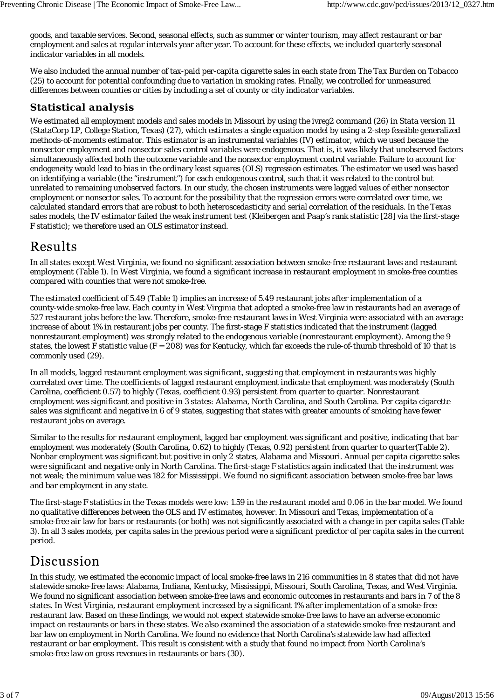goods, and taxable services. Second, seasonal effects, such as summer or winter tourism, may affect restaurant or bar employment and sales at regular intervals year after year. To account for these effects, we included quarterly seasonal indicator variables in all models.

We also included the annual number of tax-paid per-capita cigarette sales in each state from *The Tax Burden on Tobacco* (25) to account for potential confounding due to variation in smoking rates. Finally, we controlled for unmeasured differences between counties or cities by including a set of county or city indicator variables.

### **Statistical analysis**

We estimated all employment models and sales models in Missouri by using the ivreg2 command (26) in Stata version 11 (StataCorp LP, College Station, Texas) (27), which estimates a single equation model by using a 2-step feasible generalized methods-of-moments estimator. This estimator is an instrumental variables (IV) estimator, which we used because the nonsector employment and nonsector sales control variables were endogenous. That is, it was likely that unobserved factors simultaneously affected both the outcome variable and the nonsector employment control variable. Failure to account for endogeneity would lead to bias in the ordinary least squares (OLS) regression estimates. The estimator we used was based on identifying a variable (the "instrument") for each endogenous control, such that it was related to the control but unrelated to remaining unobserved factors. In our study, the chosen instruments were lagged values of either nonsector employment or nonsector sales. To account for the possibility that the regression errors were correlated over time, we calculated standard errors that are robust to both heteroscedasticity and serial correlation of the residuals. In the Texas sales models, the IV estimator failed the weak instrument test (Kleibergen and Paap's rank statistic [28] via the first-stage *F* statistic); we therefore used an OLS estimator instead.

## Results

In all states except West Virginia, we found no significant association between smoke-free restaurant laws and restaurant employment (Table 1). In West Virginia, we found a significant increase in restaurant employment in smoke-free counties compared with counties that were not smoke-free.

The estimated coefficient of 5.49 (Table 1) implies an increase of 5.49 restaurant jobs after implementation of a county-wide smoke-free law. Each county in West Virginia that adopted a smoke-free law in restaurants had an average of 527 restaurant jobs before the law. Therefore, smoke-free restaurant laws in West Virginia were associated with an average increase of about 1% in restaurant jobs per county. The first-stage *F* statistics indicated that the instrument (lagged nonrestaurant employment) was strongly related to the endogenous variable (nonrestaurant employment). Among the 9 states, the lowest *F* statistic value (*F* = 208) was for Kentucky, which far exceeds the rule-of-thumb threshold of 10 that is commonly used (29).

In all models, lagged restaurant employment was significant, suggesting that employment in restaurants was highly correlated over time. The coefficients of lagged restaurant employment indicate that employment was moderately (South Carolina, coefficient 0.57) to highly (Texas, coefficient 0.93) persistent from quarter to quarter. Nonrestaurant employment was significant and positive in 3 states: Alabama, North Carolina, and South Carolina. Per capita cigarette sales was significant and negative in 6 of 9 states, suggesting that states with greater amounts of smoking have fewer restaurant jobs on average.

Similar to the results for restaurant employment, lagged bar employment was significant and positive, indicating that bar employment was moderately (South Carolina, 0.62) to highly (Texas, 0.92) persistent from quarter to quarter(Table 2). Nonbar employment was significant but positive in only 2 states, Alabama and Missouri. Annual per capita cigarette sales were significant and negative only in North Carolina. The first-stage *F* statistics again indicated that the instrument was not weak; the minimum value was 182 for Mississippi. We found no significant association between smoke-free bar laws and bar employment in any state.

The first-stage *F* statistics in the Texas models were low: 1.59 in the restaurant model and 0.06 in the bar model. We found no qualitative differences between the OLS and IV estimates, however. In Missouri and Texas, implementation of a smoke-free air law for bars or restaurants (or both) was not significantly associated with a change in per capita sales (Table 3). In all 3 sales models, per capita sales in the previous period were a significant predictor of per capita sales in the current period.

# Discussion

In this study, we estimated the economic impact of local smoke-free laws in 216 communities in 8 states that did not have statewide smoke-free laws: Alabama, Indiana, Kentucky, Mississippi, Missouri, South Carolina, Texas, and West Virginia. We found no significant association between smoke-free laws and economic outcomes in restaurants and bars in 7 of the 8 states. In West Virginia, restaurant employment increased by a significant 1% after implementation of a smoke-free restaurant law. Based on these findings, we would not expect statewide smoke-free laws to have an adverse economic impact on restaurants or bars in these states. We also examined the association of a statewide smoke-free restaurant and bar law on employment in North Carolina. We found no evidence that North Carolina's statewide law had affected restaurant or bar employment. This result is consistent with a study that found no impact from North Carolina's smoke-free law on gross revenues in restaurants or bars (30).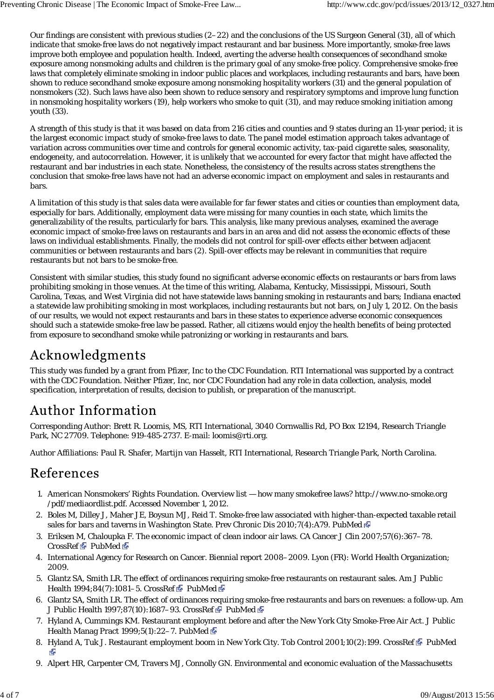Our findings are consistent with previous studies  $(2-22)$  and the conclusions of the US Surgeon General  $(31)$ , all of which indicate that smoke-free laws do not negatively impact restaurant and bar business. More importantly, smoke-free laws improve both employee and population health. Indeed, averting the adverse health consequences of secondhand smoke exposure among nonsmoking adults and children is the primary goal of any smoke-free policy. Comprehensive smoke-free laws that completely eliminate smoking in indoor public places and workplaces, including restaurants and bars, have been shown to reduce secondhand smoke exposure among nonsmoking hospitality workers (31) and the general population of nonsmokers (32). Such laws have also been shown to reduce sensory and respiratory symptoms and improve lung function in nonsmoking hospitality workers (19), help workers who smoke to quit (31), and may reduce smoking initiation among youth (33).

A strength of this study is that it was based on data from 216 cities and counties and 9 states during an 11-year period; it is the largest economic impact study of smoke-free laws to date. The panel model estimation approach takes advantage of variation across communities over time and controls for general economic activity, tax-paid cigarette sales, seasonality, endogeneity, and autocorrelation. However, it is unlikely that we accounted for every factor that might have affected the restaurant and bar industries in each state. Nonetheless, the consistency of the results across states strengthens the conclusion that smoke-free laws have not had an adverse economic impact on employment and sales in restaurants and bars.

A limitation of this study is that sales data were available for far fewer states and cities or counties than employment data, especially for bars. Additionally, employment data were missing for many counties in each state, which limits the generalizability of the results, particularly for bars. This analysis, like many previous analyses, examined the average economic impact of smoke-free laws on restaurants and bars in an area and did not assess the economic effects of these laws on individual establishments. Finally, the models did not control for spill-over effects either between adjacent communities or between restaurants and bars (2). Spill-over effects may be relevant in communities that require restaurants but not bars to be smoke-free.

Consistent with similar studies, this study found no significant adverse economic effects on restaurants or bars from laws prohibiting smoking in those venues. At the time of this writing, Alabama, Kentucky, Mississippi, Missouri, South Carolina, Texas, and West Virginia did not have statewide laws banning smoking in restaurants and bars; Indiana enacted a statewide law prohibiting smoking in most workplaces, including restaurants but not bars, on July 1, 2012. On the basis of our results, we would not expect restaurants and bars in these states to experience adverse economic consequences should such a statewide smoke-free law be passed. Rather, all citizens would enjoy the health benefits of being protected from exposure to secondhand smoke while patronizing or working in restaurants and bars.

# Acknowledgments

This study was funded by a grant from Pfizer, Inc to the CDC Foundation. RTI International was supported by a contract with the CDC Foundation. Neither Pfizer, Inc, nor CDC Foundation had any role in data collection, analysis, model specification, interpretation of results, decision to publish, or preparation of the manuscript.

# Author Information

Corresponding Author: Brett R. Loomis, MS, RTI International, 3040 Cornwallis Rd, PO Box 12194, Research Triangle Park, NC 27709. Telephone: 919-485-2737. E-mail: loomis@rti.org.

Author Affiliations: Paul R. Shafer, Martijn van Hasselt, RTI International, Research Triangle Park, North Carolina.

## References

- American Nonsmokers' Rights Foundation. Overview list how many smokefree laws? http://www.no-smoke.org 1. /pdf/mediaordlist.pdf. Accessed November 1, 2012.
- 2.Boles M, Dilley J, Maher JE, Boysun MJ, Reid T. Smoke-free law associated with higher-than-expected taxable retail sales for bars and taverns in Washington State. Prev Chronic Dis 2010;7(4):A79. PubMed  $\bar{C}$
- Eriksen M, Chaloupka F. The economic impact of clean indoor air laws. CA Cancer J Clin 2007;57(6):367–78. 3. CrossRef & PubMed
- 4. International Agency for Research on Cancer. Biennial report 2008–2009. Lyon (FR): World Health Organization; 2009.
- 5. Glantz SA, Smith LR. The effect of ordinances requiring smoke-free restaurants on restaurant sales. Am J Public Health 1994;84(7):1081-5. CrossRef PubMed
- 6. Glantz SA, Smith LR. The effect of ordinances requiring smoke-free restaurants and bars on revenues: a follow-up. Am J Public Health 1997;87(10):1687-93. CrossRef PubMed
- 7. Hyland A, Cummings KM. Restaurant employment before and after the New York City Smoke-Free Air Act. J Public Health Manag Pract 1999;5(1):22-7. PubMed
- 8. Hyland A, Tuk J. Restaurant employment boom in New York City. Tob Control 2001;10(2):199. CrossRef PubMed .<br>المج
- 9. Alpert HR, Carpenter CM, Travers MJ, Connolly GN. Environmental and economic evaluation of the Massachusetts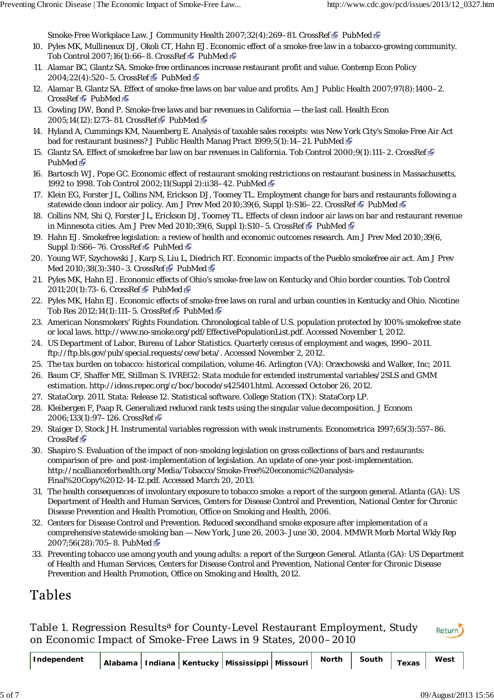Smoke-Free Workplace Law. J Community Health 2007;32(4):269-81. CrossRef PubMed PubMed

- 10. Pyles MK, Mullineaux DJ, Okoli CT, Hahn EJ. Economic effect of a smoke-free law in a tobacco-growing community. Tob Control 2007;16(1):66-8. CrossRef PubMed  $\Phi$
- 11. Alamar BC, Glantz SA. Smoke-free ordinances increase restaurant profit and value. Contemp Econ Policy 2004;22(4):520-5. CrossRef PubMed &
- Alamar B, Glantz SA. Effect of smoke-free laws on bar value and profits. Am J Public Health 2007;97(8):1400–2. 12. CrossRef PubMed
- 13. Cowling DW, Bond P. Smoke-free laws and bar revenues in California the last call. Health Econ 2005;14(12):1273-81. CrossRef PubMed P
- 14. Hyland A, Cummings KM, Nauenberg E. Analysis of taxable sales receipts: was New York City's Smoke-Free Air Act bad for restaurant business? J Public Health Manag Pract 1999;5(1):14–21. PubMed
- Glantz SA. Effect of smokefree bar law on bar revenues in California. Tob Control 2000;9(1):111–2. CrossRef 15. PubMed<sub>S</sub>
- 16. Bartosch WJ, Pope GC. Economic effect of restaurant smoking restrictions on restaurant business in Massachusetts, 1992 to 1998. Tob Control 2002;11(Suppl 2):ii38–42. PubMed
- 17. Klein EG, Forster JL, Collins NM, Erickson DJ, Toomey TL. Employment change for bars and restaurants following a statewide clean indoor air policy. Am J Prev Med 2010;39(6, Suppl 1):S16–22. CrossRef PubMed PubMed
- 18. Collins NM, Shi Q, Forster JL, Erickson DJ, Toomey TL. Effects of clean indoor air laws on bar and restaurant revenue in Minnesota cities. Am J Prev Med 2010;39(6, Suppl 1):S10-5. CrossRef PubMed P
- 19. Hahn EJ. Smokefree legislation: a review of health and economic outcomes research. Am J Prev Med 2010;39(6, Suppl 1):S66-76. CrossRef PubMed  $\Phi$
- 20. Young WF, Szychowski J, Karp S, Liu L, Diedrich RT. Economic impacts of the Pueblo smokefree air act. Am J Prev Med 2010;38(3):340-3. CrossRef PubMed P
- 21. Pyles MK, Hahn EJ. Economic effects of Ohio's smoke-free law on Kentucky and Ohio border counties. Tob Control 2011;20(1):73-6. CrossRef PubMed P
- 22. Pyles MK, Hahn EJ. Economic effects of smoke-free laws on rural and urban counties in Kentucky and Ohio. Nicotine Tob Res 2012;14(1):111-5. CrossRef PubMed
- 23. American Nonsmokers' Rights Foundation. Chronological table of U.S. population protected by 100% smokefree state or local laws. http://www.no-smoke.org/pdf/EffectivePopulationList.pdf. Accessed November 1, 2012.
- US Department of Labor, Bureau of Labor Statistics. Quarterly census of employment and wages, 1990–2011. 24. ftp://ftp.bls.gov/pub/special.requests/cew/beta/. Accessed November 2, 2012.
- 25. The tax burden on tobacco: historical compilation, volume 46. Arlington (VA): Orzechowski and Walker, Inc; 2011.
- 26. Baum CF, Shaffer ME, Stillman S. IVREG2: Stata module for extended instrumental variables/2SLS and GMM estimation. http://ideas.repec.org/c/boc/bocode/s425401.html. Accessed October 26, 2012.
- 27. StataCorp. 2011. Stata: Release 12. Statistical software. College Station (TX): StataCorp LP.
- 28. Kleibergen F, Paap R. Generalized reduced rank tests using the singular value decomposition. J Econom 2006;133(1):97-126. CrossRef
- 29. Staiger D, Stock JH. Instrumental variables regression with weak instruments. Econometrica 1997;65(3):557–86. CrossRef<sup>®</sup>
- 30. Shapiro S. Evaluation of the impact of non-smoking legislation on gross collections of bars and restaurants: comparison of pre- and post-implementation of legislation. An update of one-year post-implementation. http://ncallianceforhealth.org/Media/Tobacco/Smoke-Free%20economic%20analysis-Final%20Copy%2012-14-12.pdf. Accessed March 20, 2013.
- The health consequences of involuntary exposure to tobacco smoke: a report of the surgeon general. Atlanta (GA): US 31. Department of Health and Human Services, Centers for Disease Control and Prevention, National Center for Chronic Disease Prevention and Health Promotion, Office on Smoking and Health, 2006.
- Centers for Disease Control and Prevention. Reduced secondhand smoke exposure after implementation of a 32. comprehensive statewide smoking ban — New York, June 26, 2003–June 30, 2004. MMWR Morb Mortal Wkly Rep 2007;56(28):705-8. PubMed
- 33. Preventing tobacco use among youth and young adults: a report of the Surgeon General. Atlanta (GA): US Department of Health and Human Services, Centers for Disease Control and Prevention, National Center for Chronic Disease Prevention and Health Promotion, Office on Smoking and Health, 2012.

## Tables

Table 1. Regression Results<sup>a</sup> for County-Level Restaurant Employment, Study on Economic Impact of Smoke-Free Laws in 9 States, 2000–2010

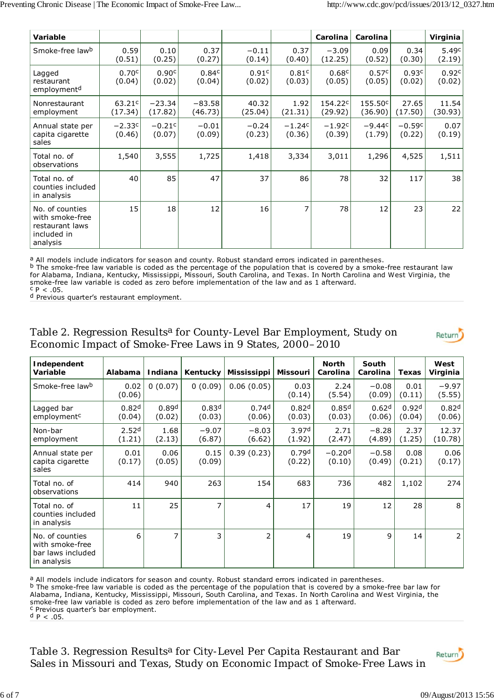| Variable                                                                         |                               |                     |                     |                   |                    | Carolina           | Carolina           |                    | Virginia         |
|----------------------------------------------------------------------------------|-------------------------------|---------------------|---------------------|-------------------|--------------------|--------------------|--------------------|--------------------|------------------|
| Smoke-free lawb                                                                  | 0.59<br>(0.51)                | 0.10<br>(0.25)      | 0.37<br>(0.27)      | $-0.11$<br>(0.14) | 0.37<br>(0.40)     | $-3.09$<br>(12.25) | 0.09<br>(0.52)     | 0.34<br>(0.30)     | 5.49c<br>(2.19)  |
| Lagged<br>restaurant<br>employment <sup>d</sup>                                  | 0.70c<br>(0.04)               | 0.90c<br>(0.02)     | 0.84c<br>(0.04)     | 0.91c<br>(0.02)   | 0.81c<br>(0.03)    | 0.68c<br>(0.05)    | 0.57c<br>(0.05)    | 0.93c<br>(0.02)    | 0.92c<br>(0.02)  |
| Nonrestaurant<br>employment                                                      | 63.21 <sup>c</sup><br>(17.34) | $-23.34$<br>(17.82) | $-83.58$<br>(46.73) | 40.32<br>(25.04)  | 1.92<br>(21.31)    | 154.22c<br>(29.92) | 155.50c<br>(36.90) | 27.65<br>(17.50)   | 11.54<br>(30.93) |
| Annual state per<br>capita cigarette<br>sales                                    | $-2.33c$<br>(0.46)            | $-0.21c$<br>(0.07)  | $-0.01$<br>(0.09)   | $-0.24$<br>(0.23) | $-1.24c$<br>(0.36) | $-1.92c$<br>(0.39) | $-9.44c$<br>(1.79) | $-0.59c$<br>(0.22) | 0.07<br>(0.19)   |
| Total no. of<br>observations                                                     | 1,540                         | 3,555               | 1,725               | 1,418             | 3,334              | 3,011              | 1,296              | 4,525              | 1,511            |
| Total no. of<br>counties included<br>in analysis                                 | 40                            | 85                  | 47                  | 37                | 86                 | 78                 | 32                 | 117                | 38               |
| No. of counties<br>with smoke-free<br>restaurant laws<br>included in<br>analysis | 15                            | 18                  | 12                  | 16                | 7                  | 78                 | 12                 | 23                 | 22               |

a All models include indicators for season and county. Robust standard errors indicated in parentheses.

 The smoke-free law variable is coded as the percentage of the population that is covered by a smoke-free restaurant law for Alabama, Indiana, Kentucky, Mississippi, Missouri, South Carolina, and Texas. In North Carolina and West Virginia, the smoke-free law variable is coded as zero before implementation of the law and as 1 afterward.  $P < .05$ . b

<sup>d</sup> Previous quarter's restaurant employment.

#### Table 2. Regression Results<sup>a</sup> for County-Level Bar Employment, Study on Economic Impact of Smoke-Free Laws in 9 States, 2000–2010

| v |  |
|---|--|
|   |  |

| Independent<br>Variable                                                | Alabama                     | Indiana                     | Kentucky                    | Mississippi                 | <b>Missouri</b>             | <b>North</b><br>Carolina    | South<br>Carolina           | Texas                       | West<br>Virginia            |
|------------------------------------------------------------------------|-----------------------------|-----------------------------|-----------------------------|-----------------------------|-----------------------------|-----------------------------|-----------------------------|-----------------------------|-----------------------------|
| Smoke-free lawb                                                        | 0.02<br>(0.06)              | 0(0.07)                     | 0(0.09)                     | 0.06(0.05)                  | 0.03<br>(0.14)              | 2.24<br>(5.54)              | $-0.08$<br>(0.09)           | 0.01<br>(0.11)              | $-9.97$<br>(5.55)           |
| Lagged bar<br>employment <sup>c</sup>                                  | 0.82 <sup>d</sup><br>(0.04) | 0.89 <sup>d</sup><br>(0.02) | 0.83 <sup>d</sup><br>(0.03) | 0.74 <sup>d</sup><br>(0.06) | 0.82 <sup>d</sup><br>(0.03) | 0.85 <sup>d</sup><br>(0.03) | 0.62 <sup>d</sup><br>(0.06) | 0.92 <sup>d</sup><br>(0.04) | 0.82 <sup>d</sup><br>(0.06) |
| Non-bar<br>employment                                                  | 2.52 <sup>d</sup><br>(1.21) | 1.68<br>(2.13)              | $-9.07$<br>(6.87)           | $-8.03$<br>(6.62)           | 3.97 <sup>d</sup><br>(1.92) | 2.71<br>(2.47)              | $-8.28$<br>(4.89)           | 2.37<br>(1.25)              | 12.37<br>(10.78)            |
| Annual state per<br>capita cigarette<br>sales                          | 0.01<br>(0.17)              | 0.06<br>(0.05)              | 0.15<br>(0.09)              | 0.39(0.23)                  | 0.79 <sup>d</sup><br>(0.22) | $-0.20d$<br>(0.10)          | $-0.58$<br>(0.49)           | 0.08<br>(0.21)              | 0.06<br>(0.17)              |
| Total no. of<br>observations                                           | 414                         | 940                         | 263                         | 154                         | 683                         | 736                         | 482                         | 1,102                       | 274                         |
| Total no. of<br>counties included<br>in analysis                       | 11                          | 25                          | 7                           | 4                           | 17                          | 19                          | 12                          | 28                          | 8                           |
| No. of counties<br>with smoke-free<br>bar laws included<br>in analysis | 6                           | $\overline{7}$              | 3                           | $\overline{2}$              | 4                           | 19                          | 9                           | 14                          | 2                           |

a All models include indicators for season and county. Robust standard errors indicated in parentheses.

 $b$  The smoke-free law variable is coded as the percentage of the population that is covered by a smoke-free bar law for Alabama, Indiana, Kentucky, Mississippi, Missouri, South Carolina, and Texas. In North Carolina and West Virginia, the

smoke-free law variable is coded as zero before implementation of the law and as 1 afterward.

c Previous quarter's bar employment.

*P* < .05. d

Table 3. Regression Results<sup>a</sup> for City-Level Per Capita Restaurant and Bar Sales in Missouri and Texas, Study on Economic Impact of Smoke-Free Laws in